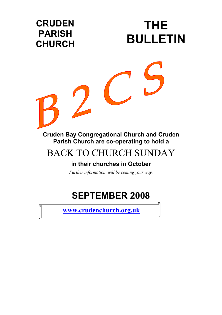

### BACK TO CHURCH SUNDAY

### **in their churches in October**

*Further information will be coming your way.* 

## **SEPTEMBER 2008**

Q

**[www.crudenchurch.org.uk](http://www.crudenchurch.org.uk/)**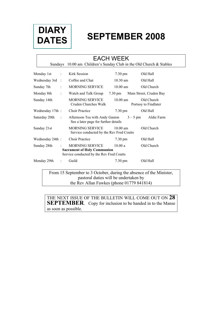

# **SEPTEMBER 2008 DIARY**

|                                                                                                                         | <b>EACH WEEK</b>                                                    |  |                                                                               |                   |                                    |  |
|-------------------------------------------------------------------------------------------------------------------------|---------------------------------------------------------------------|--|-------------------------------------------------------------------------------|-------------------|------------------------------------|--|
|                                                                                                                         | Sundays 10.00 am Children's Sunday Club in the Old Church & Stables |  |                                                                               |                   |                                    |  |
| Monday 1st                                                                                                              |                                                                     |  | Kirk Session<br>7.30 pm                                                       |                   | Old Hall                           |  |
| Wednesday 3rd                                                                                                           |                                                                     |  | Coffee and Chat                                                               | $10.30$ am        | Old Hall                           |  |
| Sunday 7th                                                                                                              |                                                                     |  | MORNING SERVICE                                                               | $10.00$ am        | Old Church                         |  |
| Monday 8th<br>÷                                                                                                         |                                                                     |  | Watch and Talk Group                                                          | $7.30 \text{ pm}$ | Main Street, Cruden Bay            |  |
| Sunday 14th                                                                                                             |                                                                     |  | <b>MORNING SERVICE</b><br>Cruden Churches Walk                                | $10.00$ am        | Old Church<br>Portsoy to Findlater |  |
|                                                                                                                         | Wednesday 17th:                                                     |  | <b>Choir Practice</b>                                                         | $7.30 \text{ pm}$ | Old Hall                           |  |
| $3 - 5$ pm<br>Saturday 20th<br>Afternoon Tea with Andy Gaston<br>See a later page for further details                   |                                                                     |  |                                                                               |                   | Aldie Farm                         |  |
| Sunday 21st                                                                                                             |                                                                     |  | <b>MORNING SERVICE</b><br>1000 am<br>Service conducted by the Rev Fred Coutts |                   | Old Church                         |  |
|                                                                                                                         | Wednesday 24th:                                                     |  | <b>Choir Practice</b>                                                         | $7.30 \text{ pm}$ | Old Hall                           |  |
| <b>MORNING SERVICE</b><br>Sunday 28th<br><b>Sacrament of Holy Communion</b><br>Service conducted by the Rev Fred Coutts |                                                                     |  |                                                                               | 10.00a            | Old Church                         |  |
|                                                                                                                         | Monday 29th                                                         |  | Guild                                                                         | 7.30 pm           | Old Hall                           |  |

From 15 September to 3 October, during the absence of the Minister, pastoral duties will be undertaken by the Rev Allan Fawkes (phone 01779 841814)

THE NEXT ISSUE OF THE BULLETIN WILL COME OUT ON **28 SEPTEMBER**. Copy for inclusion to be handed in to the Manse as soon as possible.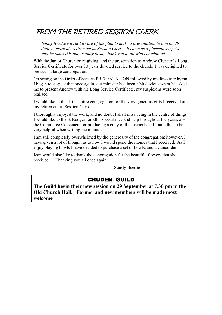### FROM THE RETIRED SESSION CLERK

*Sandy Beedie was not aware of the plan to make a presentation to him on 29 June to mark his retirement as Session Clerk. It came as a pleasant surprise and he takes this opportunity to say thank you to all who contributed.* 

With the Junior Church prize giving, and the presentation to Andrew Clyne of a Long Service Certificate for over 30 years devoted service to the church, I was delighted to see such a large congregation.

On seeing on the Order of Service PRESENTATION followed by my favourite hymn, I began to suspect that once again, our minister had been a bit devious when he asked me to present Andrew with his Long Service Certificate, my suspicions were soon realised.

I would like to thank the entire congregation for the very generous gifts I received on my retirement as Session Clerk.

I thoroughly enjoyed the work, and no doubt I shall miss being in the centre of things. I would like to thank Rodger for all his assistance and help throughout the years, also the Committee Conveners for producing a copy of their reports as I found this to be very helpful when writing the minutes.

I am still completely overwhelmed by the generosity of the congregation; however, I have given a lot of thought as to how I would spend the monies that I received. As I enjoy playing bowls I have decided to purchase a set of bowls, and a camcorder.

Jean would also like to thank the congregation for the beautiful flowers that she received. Thanking you all once again.

**Sandy Beedie** 

#### CRUDEN GUILD

**The Guild begin their new session on 29 September at 7.30 pm in the Old Church Hall. Former and new members will be made most welcome**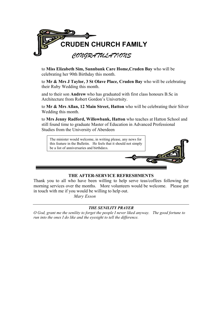

to **Miss Elizabeth Sim, Sunnbank Care Home,Cruden Bay** who will be celebrating her 90th Birthday this month.

to **Mr & Mrs J Taylor, 3 St Olave Place, Cruden Bay** who will be celebrating their Ruby Wedding this month.

and to their son **Andrew** who has graduated with first class honours B.Sc in Architecture from Robert Gordon's Univertsity.

to **Mr & Mrs Allan, 12 Main Street, Hatton** who will be celebrating their Silver Wedding this month.

to **Mrs Jenny Radford, Willowbank, Hatton** who teaches at Hatton School and still found time to graduate Master of Education in Advanced Professional Studies from the University of Aberdeen



#### **THE AFTER-SERVICE REFRESHMENTS**

Thank you to all who have been willing to help serve teas/coffees following the morning services over the months. More volunteers would be welcome. Please get in touch with me if you would be willing to help out.

 *Mary Esson* 

#### *THE SENILITY PRAYER*

*O God, grant me the senility to forget the people I never liked anyway. The good fortune to run into the ones I do like and the eyesight to tell the difference.*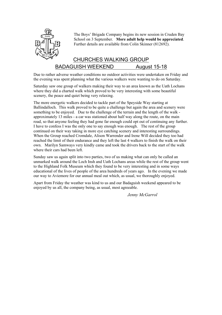

The Boys' Brigade Company begins its new session in Cruden Bay School on 3 September. **More adult help would be appreciated**. Further details are available from Colin Skinner (812692).

#### CHURCHES WALKING GROUP BADAGUISH WEEKEND August 15-18

Due to rather adverse weather conditions no outdoor activities were undertaken on Friday and the evening was spent planning what the various walkers were wanting to do on Saturday.

Saturday saw one group of walkers making their way to an area known as the Uath Lochans where they did a charted walk which proved to be very interesting with some beautiful scenery, the peace and quiet being very relaxing.

The more energetic walkers decided to tackle part of the Speyside Way starting at Ballindalloch. This walk proved to be quite a challenge but again the area and scenery were something to be enjoyed. Due to the challenge of the terrain and the length of the walk approximately 13 miles - a car was stationed about half way along the route, on the main road, so that anyone feeling they had gone far enough could opt out of continuing any further. I have to confess I was the only one to say enough was enough. The rest of the group continued on their way taking in more eye catching scenery and interesting surroundings. When the Group reached Cromdale, Alison Warrender and Irene Will decided they too had reached the limit of their endurance and they left the last 4 walkers to finish the walk on their own. Marilyn Samways very kindly came and took the drivers back to the start of the walk where their cars had been left.

Sunday saw us again split into two parties, two of us making what can only be called an unmarked walk around the Loch Insh and Uath Lochans areas while the rest of the group went to the Highland Folk Museum which they found to be very interesting and in some ways educational of the lives of people of the area hundreds of years ago. In the evening we made our way to Aviemore for our annual meal out which, as usual, we thoroughly enjoyed.

Apart from Friday the weather was kind to us and our Badaguish weekend appeared to be enjoyed by us all, the company being, as usual, most agreeable.

*Jenny McGarrol*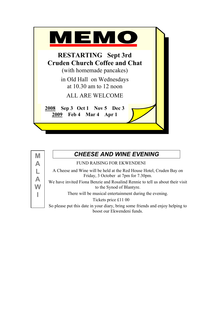



### *CHEESE AND WINE EVENING*

FUND RAISING FOR EKWENDENI

A Cheese and Wine will be held at the Red House Hotel, Cruden Bay on Friday, 3 October at 7pm for 7.30pm.

We have invited Fiona Benzie and Rosalind Rennie to tell us about their visit to the Synod of Blantyre.

There will be musical entertainment during the evening.

Tickets price £11 00

So please put this date in your diary, bring some friends and enjoy helping to boost our Ekwendeni funds.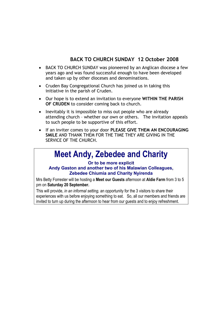#### **BACK TO CHURCH SUNDAY 12 October 2008**

- BACK TO CHURCH SUNDAY was pioneered by an Anglican diocese a few years ago and was found successful enough to have been developed and taken up by other dioceses and denominations.
- Cruden Bay Congregational Church has joined us in taking this initiative in the parish of Cruden.
- Our hope is to extend an invitation to everyone **WITHIN THE PARISH OF CRUDEN** to consider coming back to church.
- Inevitably it is impossible to miss out people who are already attending church – whether our own or others. The invitation appeals to such people to be supportive of this effort.
- If an inviter comes to your door **PLEASE GIVE THEM AN ENCOURAGING SMILE** AND THANK THEM FOR THE TIME THEY ARE GIVING IN THE SERVICE OF THE CHURCH.

### **Meet Andy, Zebedee and Charity**

#### **Or to be more explicit**

#### **Andy Gaston and another two of his Malawian Colleagues, Zebedee Chiumia and Charity Nyirenda**

Mrs Betty Forrester will be hosting a **Meet our Guests** afternoon at **Aldie Farm** from 3 to 5 pm on **Saturday 20 September.**

This will provide, *in an informal setting,* an opportunity for the 3 visitors to share their experiences with us before enjoying something to eat. So, all our members and friends are invited to turn up during the afternoon to hear from our guests and to enjoy refreshment.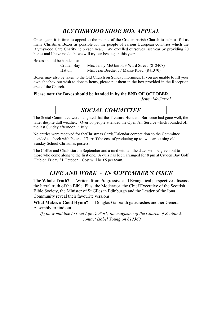### *BLYTHSWOOD SHOE BOX APPEAL*

Once again it is time to appeal to the people of the Cruden parish Church to help us fill as many Christmas Boxes as possible for the people of various European countries which the Blythswood Care Charity help each year. We excelled ourselves last year by providing 90 boxes and I have no doubt we will try our best again this year.

Boxes should be handed to:

Cruden Bay Mrs. Jenny McGarrol, 3 Ward Street. (812408) Hatton Mrs. Jean Beedie, 37 Manse Road. (841370)

Boxes may also be taken to the Old Church on Sunday mornings. If you are unable to fill your own shoebox but wish to donate items, please put them in the box provided in the Reception area of the Church.

#### **Please note the Boxes should be handed in by the END OF OCTOBER.**

*Jenny McGarrol* 

#### *SOCIAL COMMITTEE*

The Social Committee were delighted that the Treasure Hunt and Barbecue had gone well, the latter despite dull weather. Over 50 people attended the Open Air Service which rounded off the last Sunday afternoon in July.

No entries were received for theChristmas Cards/Calendar competition so the Committee decided to check with Peters of Turriff the cost of producing up to two cards using old Sunday School Christmas posters.

The Coffee and Chats start in September and a card with all the dates will be given out to those who come along to the first one. A quiz has been arranged for 8 pm at Cruden Bay Golf Club on Friday 31 October. Cost will be £5 per team.

#### *LIFE AND WORK - IN SEPTEMBER'S ISSUE*

**The Whole Truth?** Writers from Progressive and Evangelical perspectives discuss the literal truth of the Bible. Plus, the Moderator, the Chief Executive of the Scottish Bible Society, the Minister of St Giles in Edinburgh and the Leader of the Iona Community reveal their favourite versions

What Makes a Good Hymn? Douglas Galbraith gatecrashes another General Assembly to find out.

*If you would like to read Life & Work, the magazine of the Church of Scotland, contact Isobel Young on 812360*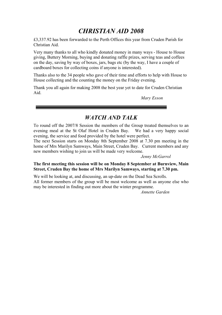### *CHRISTIAN AID 2008*

£3,337.92 has been forwarded to the Perth Offices this year from Cruden Parish for Christian Aid.

Very many thanks to all who kindly donated money in many ways - House to House giving, Buttery Morning, buying and donating raffle prizes, serving teas and coffees on the day, saving by way of boxes, jars, bags etc (by the way, I have a couple of cardboard boxes for collecting coins if anyone is interested).

Thanks also to the 34 people who gave of their time and efforts to help with House to House collecting and the counting the money on the Friday evening.

Thank you all again for making 2008 the best year yet to date for Cruden Christian Aid.

<u> The Communication of the Communication of the Communication of the Communication of the Communication of the Co</u>

*Mary Esson* 

#### *WATCH AND TALK*

To round off the 2007/8 Session the members of the Group treated themselves to an evening meal at the St Olaf Hotel in Cruden Bay. We had a very happy social evening, the service and food provided by the hotel were perfect.

The next Session starts on Monday 8th September 2008 at 7.30 pm meeting in the home of Mrs Marilyn Samways, Main Street, Cruden Bay. Current members and any new members wishing to join us will be made very welcome.

#### *Jenny McGarrol*

#### **The first meeting this session will be on Monday 8 September at Burnview, Main Street, Cruden Bay the home of Mrs Marilyn Samways, starting at 7.30 pm.**

We will be looking at, and discussing, an up-date on the Dead Sea Scrolls. All former members of the group will be most welcome as well as anyone else who may be interested in finding out more about the winter programme.

*Annette Garden*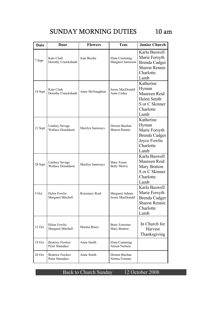### SUNDAY MORNING DUTIES 10 am

| Date    | Door                                              | <b>Flowers</b>  | <b>Teas</b>                            | <b>Junior Church</b>                                                                                |
|---------|---------------------------------------------------|-----------------|----------------------------------------|-----------------------------------------------------------------------------------------------------|
| 7 Sept  | Kate Clark<br>Dorothy Cruickshank                 | Jean Beedie     | Elma Cumming<br>Margaret Jamieson      | Karla Buswell<br>Marie Forsyth<br><b>Brenda Cadger</b><br><b>Sharon Rennie</b><br>Charlotte<br>Lamb |
| 14 Sept | Kate Clark<br>Dorothy Cruickshank                 | Anne McNaughton | Jessie MacDonald<br>Anne Cadey         | Katherine<br>Hyman<br>Maureen Reid<br>Helen Smith<br>S or C Skinner<br>Charlotte<br>Lamb            |
| 21 Sept | <b>Lindsey Savage</b><br><b>Wallace Donaldson</b> | Marilyn Samways | Doreen Buchan<br><b>Sharon Rennie</b>  | Katherine<br>Hyman<br>Marie Forsyth<br>Brenda Cadger<br>Joyce Fowlie<br>Charlotte<br>Lamb           |
| 28 Sept | <b>Lindsey Savage</b><br><b>Wallace Donaldson</b> | Marilyn Samways | Mary Esson<br><b>Betty Morris</b>      | Karla Buswell<br>Maureen Reid<br>Mary Bratton<br>S or C Skinner<br>Charlotte<br>Lamb                |
| 5 Oct   | Helen Fowlie<br>Margaret Mitchell                 | Rosemary Reid   | Margaret Adams<br>Jessie MacDonald     | Karla Buswell<br>Marie Forsyth<br>Brenda Cadger<br>Sharon Rennie<br>Charlotte<br>Lamb               |
| 12 Oct  | Helen Fowlie<br>Margaret Mitchell                 | Marina Bruce    | <b>Betty Forrester</b><br>Mary Bratton | In Church for<br>Harvest<br>Thanksgiving                                                            |
| 19 Oct  | <b>Beatrice Fawkes</b><br>Peter Slamaker          | Anne Smith      | Elma Cumming<br>Alison Neilson         |                                                                                                     |
| 26 Oct  | <b>Beatrice Fawkes</b><br>Peter Slamaker          | Anne Smith      | Doreen Buchan<br>Norma Forman          |                                                                                                     |

Back to Church Sunday 12 October 2008